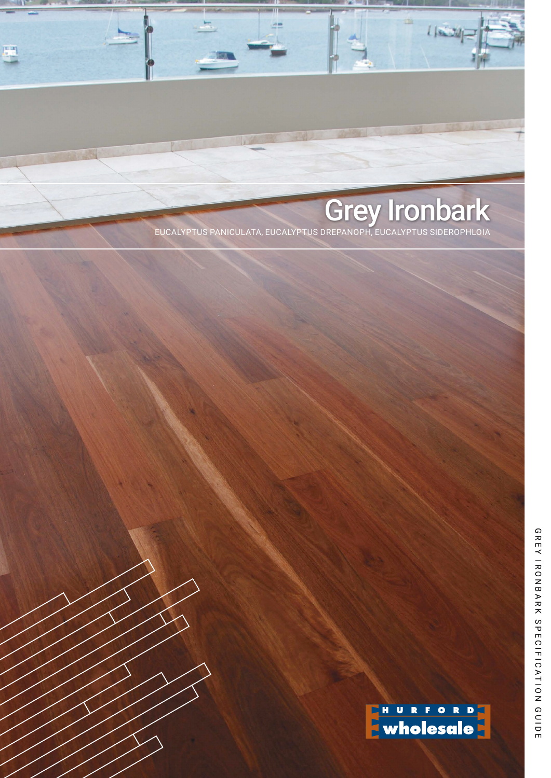# Grey Ironbark EUCALYPTUS PANICULATA, EUCALYPTUS DREPANOPH, EUCALYPTUS SIDEROPHLOIA

 $L$   $\approx$   $\approx$ 

. . . 血  $\frac{AB}{2}$ 

ENURFORD